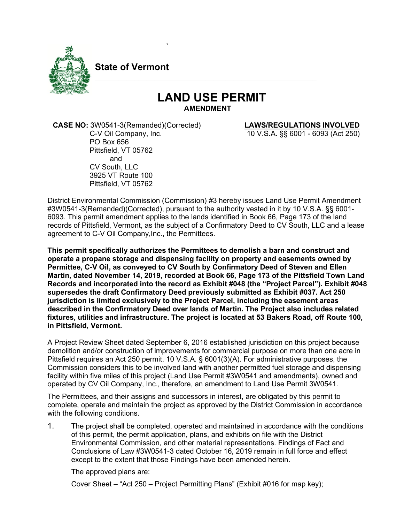

**State of Vermont**

`

## **LAND USE PERMIT**

\_\_\_\_\_\_\_\_\_\_\_\_\_\_\_\_\_\_\_\_\_\_\_\_\_\_\_\_\_\_\_\_\_\_\_\_\_\_\_\_\_\_\_\_\_\_\_\_\_\_\_\_\_\_\_\_

 **CASE NO:** 3W0541-3(Remanded)(Corrected) **LAWS/REGULATIONS INVOLVED** PO Box 656 Pittsfield, VT 05762 and CV South, LLC 3925 VT Route 100 Pittsfield, VT 05762

C-V Oil Company, Inc. 10 V.S.A. §§ 6001 - 6093 (Act 250)

District Environmental Commission (Commission) #3 hereby issues Land Use Permit Amendment #3W0541-3(Remanded)(Corrected), pursuant to the authority vested in it by 10 V.S.A. §§ 6001- 6093. This permit amendment applies to the lands identified in Book 66, Page 173 of the land records of Pittsfield, Vermont, as the subject of a Confirmatory Deed to CV South, LLC and a lease agreement to C-V Oil Company,Inc., the Permittees.

**This permit specifically authorizes the Permittees to demolish a barn and construct and operate a propane storage and dispensing facility on property and easements owned by Permittee, C-V Oil, as conveyed to CV South by Confirmatory Deed of Steven and Ellen Martin, dated November 14, 2019, recorded at Book 66, Page 173 of the Pittsfield Town Land Records and incorporated into the record as Exhibit #048 (the "Project Parcel"). Exhibit #048 supersedes the draft Confirmatory Deed previously submitted as Exhibit #037. Act 250 jurisdiction is limited exclusively to the Project Parcel, including the easement areas described in the Confirmatory Deed over lands of Martin. The Project also includes related fixtures, utilities and infrastructure. The project is located at 53 Bakers Road, off Route 100, in Pittsfield, Vermont.**

A Project Review Sheet dated September 6, 2016 established jurisdiction on this project because demolition and/or construction of improvements for commercial purpose on more than one acre in Pittsfield requires an Act 250 permit. 10 V.S.A. § 6001(3)(A). For administrative purposes, the Commission considers this to be involved land with another permitted fuel storage and dispensing facility within five miles of this project (Land Use Permit #3W0541 and amendments), owned and operated by CV Oil Company, Inc., therefore, an amendment to Land Use Permit 3W0541.

The Permittees, and their assigns and successors in interest, are obligated by this permit to complete, operate and maintain the project as approved by the District Commission in accordance with the following conditions.

1. The project shall be completed, operated and maintained in accordance with the conditions of this permit, the permit application, plans, and exhibits on file with the District Environmental Commission, and other material representations. Findings of Fact and Conclusions of Law #3W0541-3 dated October 16, 2019 remain in full force and effect except to the extent that those Findings have been amended herein.

The approved plans are:

Cover Sheet – "Act 250 – Project Permitting Plans" (Exhibit #016 for map key);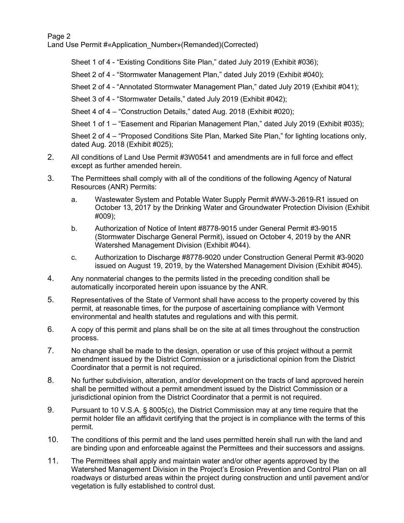Page 2

Land Use Permit #«Application Number»(Remanded)(Corrected)

Sheet 1 of 4 - "Existing Conditions Site Plan," dated July 2019 (Exhibit #036);

Sheet 2 of 4 - "Stormwater Management Plan," dated July 2019 (Exhibit #040);

Sheet 2 of 4 - "Annotated Stormwater Management Plan," dated July 2019 (Exhibit #041);

Sheet 3 of 4 - "Stormwater Details," dated July 2019 (Exhibit #042);

Sheet 4 of 4 – "Construction Details," dated Aug. 2018 (Exhibit #020);

Sheet 1 of 1 – "Easement and Riparian Management Plan," dated July 2019 (Exhibit #035);

Sheet 2 of 4 – "Proposed Conditions Site Plan, Marked Site Plan," for lighting locations only, dated Aug. 2018 (Exhibit #025);

- 2. All conditions of Land Use Permit #3W0541 and amendments are in full force and effect except as further amended herein.
- 3. The Permittees shall comply with all of the conditions of the following Agency of Natural Resources (ANR) Permits:
	- a. Wastewater System and Potable Water Supply Permit #WW-3-2619-R1 issued on October 13, 2017 by the Drinking Water and Groundwater Protection Division (Exhibit #009);
	- b. Authorization of Notice of Intent #8778-9015 under General Permit #3-9015 (Stormwater Discharge General Permit), issued on October 4, 2019 by the ANR Watershed Management Division (Exhibit #044).
	- c. Authorization to Discharge #8778-9020 under Construction General Permit #3-9020 issued on August 19, 2019, by the Watershed Management Division (Exhibit #045).
- 4. Any nonmaterial changes to the permits listed in the preceding condition shall be automatically incorporated herein upon issuance by the ANR.
- 5. Representatives of the State of Vermont shall have access to the property covered by this permit, at reasonable times, for the purpose of ascertaining compliance with Vermont environmental and health statutes and regulations and with this permit.
- 6. A copy of this permit and plans shall be on the site at all times throughout the construction process.
- 7. No change shall be made to the design, operation or use of this project without a permit amendment issued by the District Commission or a jurisdictional opinion from the District Coordinator that a permit is not required.
- 8. No further subdivision, alteration, and/or development on the tracts of land approved herein shall be permitted without a permit amendment issued by the District Commission or a jurisdictional opinion from the District Coordinator that a permit is not required.
- 9. Pursuant to 10 V.S.A. § 8005(c), the District Commission may at any time require that the permit holder file an affidavit certifying that the project is in compliance with the terms of this permit.
- 10. The conditions of this permit and the land uses permitted herein shall run with the land and are binding upon and enforceable against the Permittees and their successors and assigns.
- 11. The Permittees shall apply and maintain water and/or other agents approved by the Watershed Management Division in the Project's Erosion Prevention and Control Plan on all roadways or disturbed areas within the project during construction and until pavement and/or vegetation is fully established to control dust.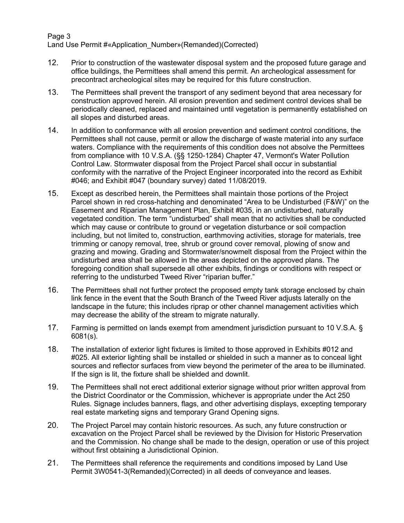## Page 3 Land Use Permit #«Application Number»(Remanded)(Corrected)

- 12. Prior to construction of the wastewater disposal system and the proposed future garage and office buildings, the Permittees shall amend this permit. An archeological assessment for precontract archeological sites may be required for this future construction.
- 13. The Permittees shall prevent the transport of any sediment beyond that area necessary for construction approved herein. All erosion prevention and sediment control devices shall be periodically cleaned, replaced and maintained until vegetation is permanently established on all slopes and disturbed areas.
- 14. In addition to conformance with all erosion prevention and sediment control conditions, the Permittees shall not cause, permit or allow the discharge of waste material into any surface waters. Compliance with the requirements of this condition does not absolve the Permittees from compliance with 10 V.S.A. (§§ 1250-1284) Chapter 47, Vermont's Water Pollution Control Law. Stormwater disposal from the Project Parcel shall occur in substantial conformity with the narrative of the Project Engineer incorporated into the record as Exhibit #046; and Exhibit #047 (boundary survey) dated 11/08/2019.
- 15. Except as described herein, the Permittees shall maintain those portions of the Project Parcel shown in red cross-hatching and denominated "Area to be Undisturbed (F&W)" on the Easement and Riparian Management Plan, Exhibit #035, in an undisturbed, naturally vegetated condition. The term "undisturbed" shall mean that no activities shall be conducted which may cause or contribute to ground or vegetation disturbance or soil compaction including, but not limited to, construction, earthmoving activities, storage for materials, tree trimming or canopy removal, tree, shrub or ground cover removal, plowing of snow and grazing and mowing. Grading and Stormwater/snowmelt disposal from the Project within the undisturbed area shall be allowed in the areas depicted on the approved plans. The foregoing condition shall supersede all other exhibits, findings or conditions with respect or referring to the undisturbed Tweed River "riparian buffer."
- 16. The Permittees shall not further protect the proposed empty tank storage enclosed by chain link fence in the event that the South Branch of the Tweed River adjusts laterally on the landscape in the future; this includes riprap or other channel management activities which may decrease the ability of the stream to migrate naturally.
- 17. Farming is permitted on lands exempt from amendment jurisdiction pursuant to 10 V.S.A. § 6081(s).
- 18. The installation of exterior light fixtures is limited to those approved in Exhibits #012 and #025. All exterior lighting shall be installed or shielded in such a manner as to conceal light sources and reflector surfaces from view beyond the perimeter of the area to be illuminated. If the sign is lit, the fixture shall be shielded and downlit.
- 19. The Permittees shall not erect additional exterior signage without prior written approval from the District Coordinator or the Commission, whichever is appropriate under the Act 250 Rules. Signage includes banners, flags, and other advertising displays, excepting temporary real estate marketing signs and temporary Grand Opening signs.
- 20. The Project Parcel may contain historic resources. As such, any future construction or excavation on the Project Parcel shall be reviewed by the Division for Historic Preservation and the Commission. No change shall be made to the design, operation or use of this project without first obtaining a Jurisdictional Opinion.
- 21. The Permittees shall reference the requirements and conditions imposed by Land Use Permit 3W0541-3(Remanded)(Corrected) in all deeds of conveyance and leases.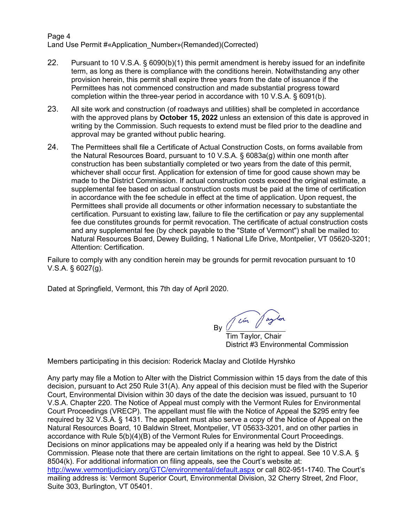Page 4 Land Use Permit #«Application Number»(Remanded)(Corrected)

- 22. Pursuant to 10 V.S.A. § 6090(b)(1) this permit amendment is hereby issued for an indefinite term, as long as there is compliance with the conditions herein. Notwithstanding any other provision herein, this permit shall expire three years from the date of issuance if the Permittees has not commenced construction and made substantial progress toward completion within the three-year period in accordance with 10 V.S.A. § 6091(b).
- 23. All site work and construction (of roadways and utilities) shall be completed in accordance with the approved plans by **October 15, 2022** unless an extension of this date is approved in writing by the Commission. Such requests to extend must be filed prior to the deadline and approval may be granted without public hearing.
- 24. The Permittees shall file a Certificate of Actual Construction Costs, on forms available from the Natural Resources Board, pursuant to 10 V.S.A. § 6083a(g) within one month after construction has been substantially completed or two years from the date of this permit, whichever shall occur first. Application for extension of time for good cause shown may be made to the District Commission. If actual construction costs exceed the original estimate, a supplemental fee based on actual construction costs must be paid at the time of certification in accordance with the fee schedule in effect at the time of application. Upon request, the Permittees shall provide all documents or other information necessary to substantiate the certification. Pursuant to existing law, failure to file the certification or pay any supplemental fee due constitutes grounds for permit revocation. The certificate of actual construction costs and any supplemental fee (by check payable to the "State of Vermont") shall be mailed to: Natural Resources Board, Dewey Building, 1 National Life Drive, Montpelier, VT 05620-3201; Attention: Certification.

Failure to comply with any condition herein may be grounds for permit revocation pursuant to 10 V.S.A. § 6027(g).

Dated at Springfield, Vermont, this 7th day of April 2020.

 $By$   $\frac{1}{\sqrt{2\pi}}$   $\frac{1}{\sqrt{2\pi}}$ 

 Tim Taylor, Chair District #3 Environmental Commission

Members participating in this decision: Roderick Maclay and Clotilde Hyrshko

Any party may file a Motion to Alter with the District Commission within 15 days from the date of this decision, pursuant to Act 250 Rule 31(A). Any appeal of this decision must be filed with the Superior Court, Environmental Division within 30 days of the date the decision was issued, pursuant to 10 V.S.A. Chapter 220. The Notice of Appeal must comply with the Vermont Rules for Environmental Court Proceedings (VRECP). The appellant must file with the Notice of Appeal the \$295 entry fee required by 32 V.S.A. § 1431. The appellant must also serve a copy of the Notice of Appeal on the Natural Resources Board, 10 Baldwin Street, Montpelier, VT 05633-3201, and on other parties in accordance with Rule 5(b)(4)(B) of the Vermont Rules for Environmental Court Proceedings. Decisions on minor applications may be appealed only if a hearing was held by the District Commission. Please note that there are certain limitations on the right to appeal. See 10 V.S.A. § 8504(k). For additional information on filing appeals, see the Court's website at: <http://www.vermontjudiciary.org/GTC/environmental/default.aspx> or call 802-951-1740. The Court's mailing address is: Vermont Superior Court, Environmental Division, 32 Cherry Street, 2nd Floor, Suite 303, Burlington, VT 05401.